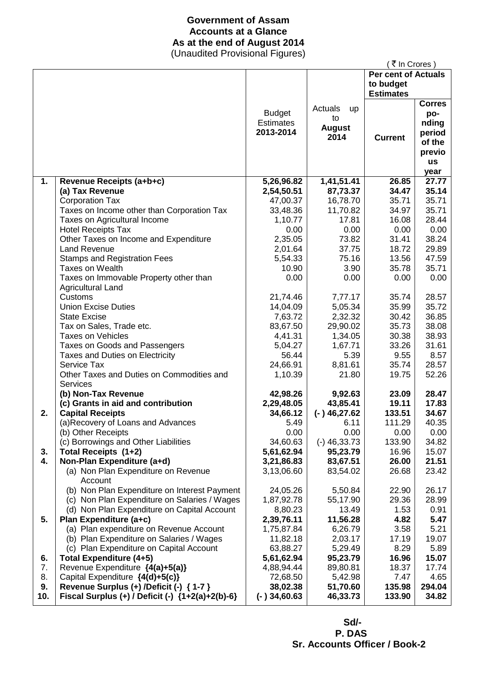# **Government of Assam Accounts at a Glance As at the end of August 2014**

(Unaudited Provisional Figures)

|     |                                                          |                  |                | ₹ In Crores)               |               |
|-----|----------------------------------------------------------|------------------|----------------|----------------------------|---------------|
|     |                                                          |                  |                | <b>Per cent of Actuals</b> |               |
|     |                                                          |                  |                | to budget                  |               |
|     |                                                          |                  |                | <b>Estimates</b>           |               |
|     |                                                          |                  | Actuals        |                            | <b>Corres</b> |
|     |                                                          | <b>Budget</b>    | <b>up</b>      |                            | po-           |
|     |                                                          | <b>Estimates</b> | to             |                            | nding         |
|     |                                                          | 2013-2014        | <b>August</b>  |                            | period        |
|     |                                                          |                  | 2014           | <b>Current</b>             | of the        |
|     |                                                          |                  |                |                            | previo        |
|     |                                                          |                  |                |                            | <b>us</b>     |
|     |                                                          |                  |                |                            | year          |
| 1.  | Revenue Receipts (a+b+c)                                 | 5,26,96.82       | 1,41,51.41     | 26.85                      | 27.77         |
|     | (a) Tax Revenue                                          | 2,54,50.51       | 87,73.37       | 34.47                      | 35.14         |
|     | <b>Corporation Tax</b>                                   | 47,00.37         | 16,78.70       | 35.71                      | 35.71         |
|     | Taxes on Income other than Corporation Tax               | 33,48.36         | 11,70.82       | 34.97                      | 35.71         |
|     | Taxes on Agricultural Income                             | 1,10.77          | 17.81          | 16.08                      | 28.44         |
|     | <b>Hotel Receipts Tax</b>                                | 0.00             | 0.00           | 0.00                       | 0.00          |
|     | Other Taxes on Income and Expenditure                    | 2,35.05          | 73.82          | 31.41                      | 38.24         |
|     | <b>Land Revenue</b>                                      | 2,01.64          | 37.75          | 18.72                      | 29.89         |
|     | <b>Stamps and Registration Fees</b>                      | 5,54.33          | 75.16          | 13.56                      | 47.59         |
|     | <b>Taxes on Wealth</b>                                   | 10.90            | 3.90           | 35.78                      | 35.71         |
|     | Taxes on Immovable Property other than                   | 0.00             | 0.00           | 0.00                       | 0.00          |
|     | <b>Agricultural Land</b>                                 |                  |                |                            |               |
|     | Customs                                                  | 21,74.46         | 7,77.17        | 35.74                      | 28.57         |
|     | <b>Union Excise Duties</b>                               | 14,04.09         | 5,05.34        | 35.99                      | 35.72         |
|     | <b>State Excise</b>                                      | 7,63.72          | 2,32.32        | 30.42                      | 36.85         |
|     | Tax on Sales, Trade etc.                                 | 83,67.50         | 29,90.02       | 35.73                      | 38.08         |
|     | <b>Taxes on Vehicles</b>                                 | 4,41.31          | 1,34.05        | 30.38                      | 38.93         |
|     | Taxes on Goods and Passengers                            | 5,04.27          | 1,67.71        | 33.26                      | 31.61         |
|     | Taxes and Duties on Electricity                          | 56.44            | 5.39           | 9.55                       | 8.57          |
|     | Service Tax                                              | 24,66.91         | 8,81.61        | 35.74                      | 28.57         |
|     | Other Taxes and Duties on Commodities and                | 1,10.39          | 21.80          | 19.75                      | 52.26         |
|     | <b>Services</b>                                          |                  |                |                            |               |
|     | (b) Non-Tax Revenue                                      | 42,98.26         | 9,92.63        | 23.09                      | 28.47         |
|     | (c) Grants in aid and contribution                       | 2,29,48.05       | 43,85.41       | 19.11                      | 17.83         |
| 2.  | <b>Capital Receipts</b>                                  | 34,66.12         | $(-)$ 46,27.62 | 133.51                     | 34.67         |
|     | (a)Recovery of Loans and Advances                        | 5.49             | 6.11           | 111.29                     | 40.35         |
|     | (b) Other Receipts                                       | 0.00             | 0.00           | 0.00                       | 0.00          |
|     | (c) Borrowings and Other Liabilities                     | 34,60.63         | $(-)$ 46,33.73 | 133.90                     | 34.82         |
| 3.  | Total Receipts (1+2)                                     | 5,61,62.94       | 95,23.79       | 16.96                      | 15.07         |
| 4.  | Non-Plan Expenditure (a+d)                               | 3,21,86.83       | 83,67.51       | 26.00                      | 21.51         |
|     | (a) Non Plan Expenditure on Revenue                      | 3,13,06.60       | 83,54.02       | 26.68                      | 23.42         |
|     | Account                                                  |                  |                |                            |               |
|     | (b) Non Plan Expenditure on Interest Payment             | 24,05.26         | 5,50.84        | 22.90                      | 26.17         |
|     | (c) Non Plan Expenditure on Salaries / Wages             | 1,87,92.78       | 55,17.90       | 29.36                      | 28.99         |
|     | (d) Non Plan Expenditure on Capital Account              | 8,80.23          | 13.49          | 1.53                       | 0.91          |
| 5.  | Plan Expenditure (a+c)                                   | 2,39,76.11       | 11,56.28       | 4.82                       | 5.47          |
|     | (a) Plan expenditure on Revenue Account                  | 1,75,87.84       | 6,26.79        | 3.58                       | 5.21          |
|     | (b) Plan Expenditure on Salaries / Wages                 | 11,82.18         | 2,03.17        | 17.19                      | 19.07         |
|     | (c) Plan Expenditure on Capital Account                  | 63,88.27         | 5,29.49        | 8.29                       | 5.89          |
| 6.  | <b>Total Expenditure (4+5)</b>                           | 5,61,62.94       | 95,23.79       | 16.96                      | 15.07         |
| 7.  | Revenue Expenditure {4(a)+5(a)}                          | 4,88,94.44       | 89,80.81       | 18.37                      | 17.74         |
| 8.  | Capital Expenditure {4(d)+5(c)}                          | 72,68.50         | 5,42.98        | 7.47                       | 4.65          |
| 9.  | Revenue Surplus (+) /Deficit (-) { 1-7 }                 | 38,02.38         | 51,70.60       | 135.98                     | 294.04        |
| 10. | Fiscal Surplus $(+)$ / Deficit $(-)$ $\{1+2(a)+2(b)-6\}$ | $(-)34,60.63$    | 46,33.73       | 133.90                     | 34.82         |

 **Sd/- P. DAS Sr. Accounts Officer / Book-2**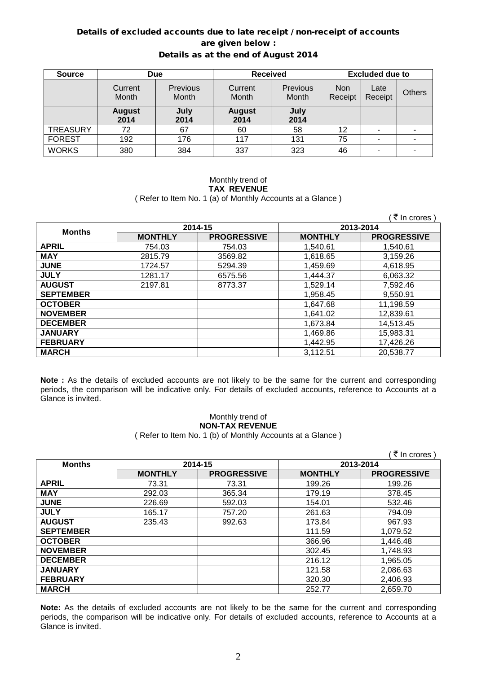### Details of excluded accounts due to late receipt / non-receipt of accounts are given below : Details as at the end of August 2014

| <b>Source</b>   | <b>Due</b>            |                                 | <b>Received</b>       |                   | <b>Excluded due to</b> |                 |               |
|-----------------|-----------------------|---------------------------------|-----------------------|-------------------|------------------------|-----------------|---------------|
|                 | Current<br>Month      | <b>Previous</b><br><b>Month</b> | Current<br>Month      | Previous<br>Month | <b>Non</b><br>Receipt  | Late<br>Receipt | <b>Others</b> |
|                 | <b>August</b><br>2014 | July<br>2014                    | <b>August</b><br>2014 | July<br>2014      |                        |                 |               |
| <b>TREASURY</b> | 72                    | 67                              | 60                    | 58                | 12                     | -               |               |
| <b>FOREST</b>   | 192                   | 176                             | 117                   | 131               | 75                     | ۰               |               |
| <b>WORKS</b>    | 380                   | 384                             | 337                   | 323               | 46                     |                 |               |

### Monthly trend of **TAX REVENUE** ( Refer to Item No. 1 (a) of Monthly Accounts at a Glance )

|                  |                |                    |                | ∶₹ In crores )     |  |
|------------------|----------------|--------------------|----------------|--------------------|--|
| <b>Months</b>    |                | 2014-15            | 2013-2014      |                    |  |
|                  | <b>MONTHLY</b> | <b>PROGRESSIVE</b> | <b>MONTHLY</b> | <b>PROGRESSIVE</b> |  |
| <b>APRIL</b>     | 754.03         | 754.03             | 1,540.61       | 1,540.61           |  |
| <b>MAY</b>       | 2815.79        | 3569.82            | 1,618.65       | 3,159.26           |  |
| <b>JUNE</b>      | 1724.57        | 5294.39            | 1,459.69       | 4,618.95           |  |
| <b>JULY</b>      | 1281.17        | 6575.56            | 1,444.37       | 6,063.32           |  |
| <b>AUGUST</b>    | 2197.81        | 8773.37            | 1,529.14       | 7,592.46           |  |
| <b>SEPTEMBER</b> |                |                    | 1,958.45       | 9,550.91           |  |
| <b>OCTOBER</b>   |                |                    | 1.647.68       | 11,198.59          |  |
| <b>NOVEMBER</b>  |                |                    | 1,641.02       | 12,839.61          |  |
| <b>DECEMBER</b>  |                |                    | 1.673.84       | 14,513.45          |  |
| <b>JANUARY</b>   |                |                    | 1,469.86       | 15,983.31          |  |
| <b>FEBRUARY</b>  |                |                    | 1,442.95       | 17,426.26          |  |
| <b>MARCH</b>     |                |                    | 3,112.51       | 20,538.77          |  |

**Note :** As the details of excluded accounts are not likely to be the same for the current and corresponding periods, the comparison will be indicative only. For details of excluded accounts, reference to Accounts at a Glance is invited.

# Monthly trend of **NON-TAX REVENUE**

( Refer to Item No. 1 (b) of Monthly Accounts at a Glance )

|                  |                |                    |                | ्र In crores )     |
|------------------|----------------|--------------------|----------------|--------------------|
| <b>Months</b>    |                | 2014-15            | 2013-2014      |                    |
|                  | <b>MONTHLY</b> | <b>PROGRESSIVE</b> | <b>MONTHLY</b> | <b>PROGRESSIVE</b> |
| <b>APRIL</b>     | 73.31          | 73.31              | 199.26         | 199.26             |
| <b>MAY</b>       | 292.03         | 365.34             | 179.19         | 378.45             |
| <b>JUNE</b>      | 226.69         | 592.03             | 154.01         | 532.46             |
| <b>JULY</b>      | 165.17         | 757.20             | 261.63         | 794.09             |
| <b>AUGUST</b>    | 235.43         | 992.63             | 173.84         | 967.93             |
| <b>SEPTEMBER</b> |                |                    | 111.59         | 1,079.52           |
| <b>OCTOBER</b>   |                |                    | 366.96         | 1,446.48           |
| <b>NOVEMBER</b>  |                |                    | 302.45         | 1,748.93           |
| <b>DECEMBER</b>  |                |                    | 216.12         | 1,965.05           |
| <b>JANUARY</b>   |                |                    | 121.58         | 2,086.63           |
| <b>FEBRUARY</b>  |                |                    | 320.30         | 2,406.93           |
| <b>MARCH</b>     |                |                    | 252.77         | 2,659.70           |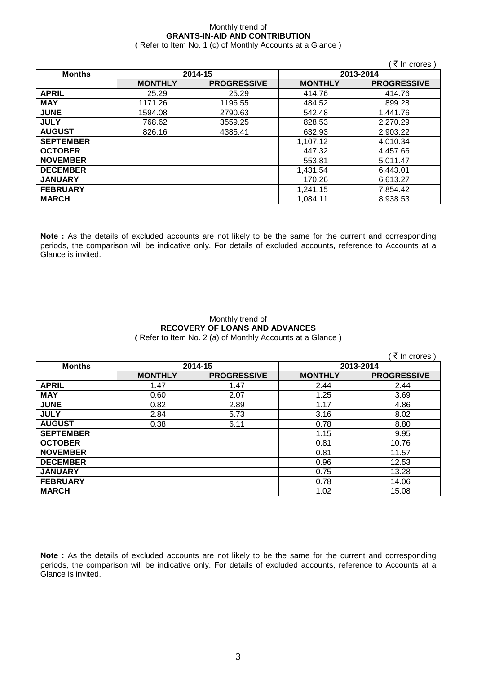# Monthly trend of **GRANTS-IN-AID AND CONTRIBUTION**

( Refer to Item No. 1 (c) of Monthly Accounts at a Glance )

|                  |                |                    |                | ( ₹ In crores )    |
|------------------|----------------|--------------------|----------------|--------------------|
| <b>Months</b>    |                | 2014-15            |                | 2013-2014          |
|                  | <b>MONTHLY</b> | <b>PROGRESSIVE</b> | <b>MONTHLY</b> | <b>PROGRESSIVE</b> |
| <b>APRIL</b>     | 25.29          | 25.29              | 414.76         | 414.76             |
| <b>MAY</b>       | 1171.26        | 1196.55            | 484.52         | 899.28             |
| <b>JUNE</b>      | 1594.08        | 2790.63            | 542.48         | 1,441.76           |
| <b>JULY</b>      | 768.62         | 3559.25            | 828.53         | 2,270.29           |
| <b>AUGUST</b>    | 826.16         | 4385.41            | 632.93         | 2,903.22           |
| <b>SEPTEMBER</b> |                |                    | 1,107.12       | 4,010.34           |
| <b>OCTOBER</b>   |                |                    | 447.32         | 4,457.66           |
| <b>NOVEMBER</b>  |                |                    | 553.81         | 5,011.47           |
| <b>DECEMBER</b>  |                |                    | 1,431.54       | 6,443.01           |
| <b>JANUARY</b>   |                |                    | 170.26         | 6,613.27           |
| <b>FEBRUARY</b>  |                |                    | 1,241.15       | 7,854.42           |
| <b>MARCH</b>     |                |                    | 1.084.11       | 8,938.53           |

**Note :** As the details of excluded accounts are not likely to be the same for the current and corresponding periods, the comparison will be indicative only. For details of excluded accounts, reference to Accounts at a Glance is invited.

### Monthly trend of **RECOVERY OF LOANS AND ADVANCES** ( Refer to Item No. 2 (a) of Monthly Accounts at a Glance )

 $\sqrt{7}$  In crores )

| <b>Months</b>    |                | 2014-15            | 2013-2014      |                    |  |
|------------------|----------------|--------------------|----------------|--------------------|--|
|                  |                |                    |                |                    |  |
|                  | <b>MONTHLY</b> | <b>PROGRESSIVE</b> | <b>MONTHLY</b> | <b>PROGRESSIVE</b> |  |
| <b>APRIL</b>     | 1.47           | 1.47               | 2.44           | 2.44               |  |
| <b>MAY</b>       | 0.60           | 2.07               | 1.25           | 3.69               |  |
| <b>JUNE</b>      | 0.82           | 2.89               | 1.17           | 4.86               |  |
| <b>JULY</b>      | 2.84           | 5.73               | 3.16           | 8.02               |  |
| <b>AUGUST</b>    | 0.38           | 6.11               | 0.78           | 8.80               |  |
| <b>SEPTEMBER</b> |                |                    | 1.15           | 9.95               |  |
| <b>OCTOBER</b>   |                |                    | 0.81           | 10.76              |  |
| <b>NOVEMBER</b>  |                |                    | 0.81           | 11.57              |  |
| <b>DECEMBER</b>  |                |                    | 0.96           | 12.53              |  |
| <b>JANUARY</b>   |                |                    | 0.75           | 13.28              |  |
| <b>FEBRUARY</b>  |                |                    | 0.78           | 14.06              |  |
| <b>MARCH</b>     |                |                    | 1.02           | 15.08              |  |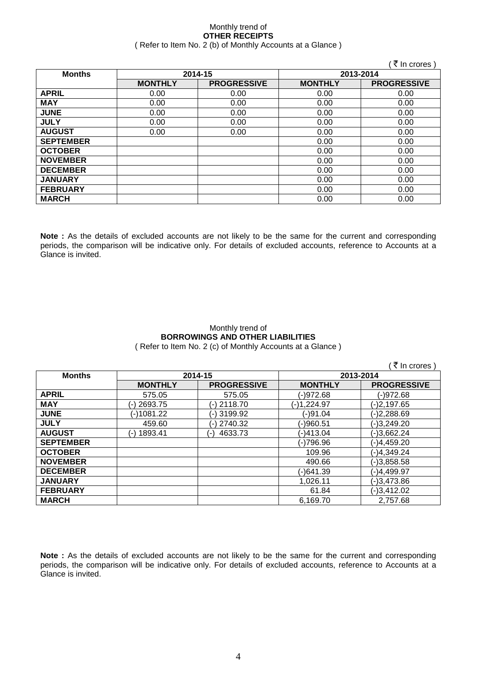### Monthly trend of **OTHER RECEIPTS** ( Refer to Item No. 2 (b) of Monthly Accounts at a Glance )

|                  |                |                    |                | (₹In crores)       |
|------------------|----------------|--------------------|----------------|--------------------|
| <b>Months</b>    |                | 2014-15            | 2013-2014      |                    |
|                  | <b>MONTHLY</b> | <b>PROGRESSIVE</b> | <b>MONTHLY</b> | <b>PROGRESSIVE</b> |
| <b>APRIL</b>     | 0.00           | 0.00               | 0.00           | 0.00               |
| <b>MAY</b>       | 0.00           | 0.00               | 0.00           | 0.00               |
| <b>JUNE</b>      | 0.00           | 0.00               | 0.00           | 0.00               |
| <b>JULY</b>      | 0.00           | 0.00               | 0.00           | 0.00               |
| <b>AUGUST</b>    | 0.00           | 0.00               | 0.00           | 0.00               |
| <b>SEPTEMBER</b> |                |                    | 0.00           | 0.00               |
| <b>OCTOBER</b>   |                |                    | 0.00           | 0.00               |
| <b>NOVEMBER</b>  |                |                    | 0.00           | 0.00               |
| <b>DECEMBER</b>  |                |                    | 0.00           | 0.00               |
| <b>JANUARY</b>   |                |                    | 0.00           | 0.00               |
| <b>FEBRUARY</b>  |                |                    | 0.00           | 0.00               |
| <b>MARCH</b>     |                |                    | 0.00           | 0.00               |

**Note :** As the details of excluded accounts are not likely to be the same for the current and corresponding periods, the comparison will be indicative only. For details of excluded accounts, reference to Accounts at a Glance is invited.

### Monthly trend of **BORROWINGS AND OTHER LIABILITIES** ( Refer to Item No. 2 (c) of Monthly Accounts at a Glance )

|                  |                  |                    |                | ₹ In crores        |
|------------------|------------------|--------------------|----------------|--------------------|
| <b>Months</b>    |                  | 2014-15            |                | 2013-2014          |
|                  | <b>MONTHLY</b>   | <b>PROGRESSIVE</b> | <b>MONTHLY</b> | <b>PROGRESSIVE</b> |
| <b>APRIL</b>     | 575.05           | 575.05             | (-)972.68      | (-)972.68          |
| <b>MAY</b>       | (-) 2693.75      | (-) 2118.70        | (-)1,224.97    | (-)2,197.65        |
| <b>JUNE</b>      | (-)1081.22       | (-) 3199.92        | (-)91.04       | $(-)2,288.69$      |
| <b>JULY</b>      | 459.60           | (-) 2740.32        | (-)960.51      | $(-)3,249.20$      |
| <b>AUGUST</b>    | 1893.41<br>$(-)$ | 4633.73<br>( – )   | (-)413.04      | $(-)3,662.24$      |
| <b>SEPTEMBER</b> |                  |                    | (-)796.96      | $(-)4,459.20$      |
| <b>OCTOBER</b>   |                  |                    | 109.96         | $(-)4,349.24$      |
| <b>NOVEMBER</b>  |                  |                    | 490.66         | $(-)3,858.58$      |
| <b>DECEMBER</b>  |                  |                    | (-)641.39      | (-)4,499.97        |
| <b>JANUARY</b>   |                  |                    | 1,026.11       | $(-)3,473.86$      |
| <b>FEBRUARY</b>  |                  |                    | 61.84          | $(-)3,412.02$      |
| <b>MARCH</b>     |                  |                    | 6.169.70       | 2,757.68           |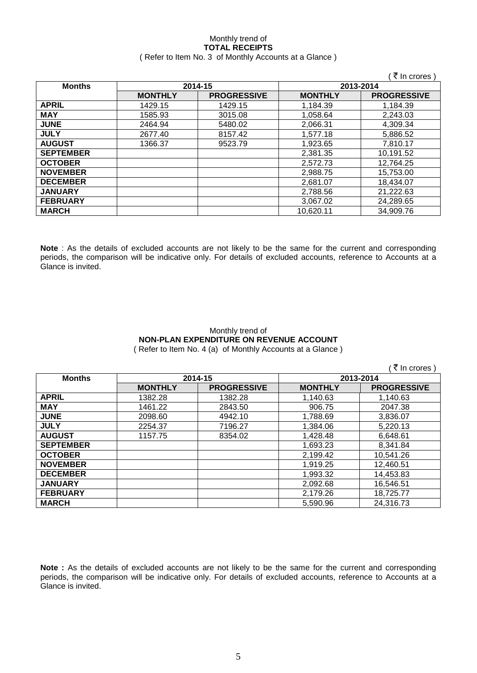### Monthly trend of **TOTAL RECEIPTS** ( Refer to Item No. 3 of Monthly Accounts at a Glance )

|                  |                |                    |                | ₹ In crores        |
|------------------|----------------|--------------------|----------------|--------------------|
| <b>Months</b>    |                | 2014-15            | 2013-2014      |                    |
|                  | <b>MONTHLY</b> | <b>PROGRESSIVE</b> | <b>MONTHLY</b> | <b>PROGRESSIVE</b> |
| <b>APRIL</b>     | 1429.15        | 1429.15            | 1,184.39       | 1,184.39           |
| <b>MAY</b>       | 1585.93        | 3015.08            | 1,058.64       | 2,243.03           |
| <b>JUNE</b>      | 2464.94        | 5480.02            | 2,066.31       | 4.309.34           |
| <b>JULY</b>      | 2677.40        | 8157.42            | 1,577.18       | 5,886.52           |
| <b>AUGUST</b>    | 1366.37        | 9523.79            | 1,923.65       | 7.810.17           |
| <b>SEPTEMBER</b> |                |                    | 2,381.35       | 10,191.52          |
| <b>OCTOBER</b>   |                |                    | 2,572.73       | 12.764.25          |
| <b>NOVEMBER</b>  |                |                    | 2,988.75       | 15,753.00          |
| <b>DECEMBER</b>  |                |                    | 2,681.07       | 18,434.07          |
| <b>JANUARY</b>   |                |                    | 2,788.56       | 21,222.63          |
| <b>FEBRUARY</b>  |                |                    | 3,067.02       | 24,289.65          |
| <b>MARCH</b>     |                |                    | 10,620.11      | 34,909.76          |

**Note** : As the details of excluded accounts are not likely to be the same for the current and corresponding periods, the comparison will be indicative only. For details of excluded accounts, reference to Accounts at a Glance is invited.

### Monthly trend of **NON-PLAN EXPENDITURE ON REVENUE ACCOUNT** ( Refer to Item No. 4 (a) of Monthly Accounts at a Glance )

 $($   $\bar{z}$  In crores )

| <b>Months</b>    | 2014-15        |                    | 2013-2014      |                    |
|------------------|----------------|--------------------|----------------|--------------------|
|                  | <b>MONTHLY</b> | <b>PROGRESSIVE</b> | <b>MONTHLY</b> | <b>PROGRESSIVE</b> |
| <b>APRIL</b>     | 1382.28        | 1382.28            | 1,140.63       | 1,140.63           |
| <b>MAY</b>       | 1461.22        | 2843.50            | 906.75         | 2047.38            |
| <b>JUNE</b>      | 2098.60        | 4942.10            | 1,788.69       | 3,836.07           |
| <b>JULY</b>      | 2254.37        | 7196.27            | 1,384.06       | 5,220.13           |
| <b>AUGUST</b>    | 1157.75        | 8354.02            | 1,428.48       | 6,648.61           |
| <b>SEPTEMBER</b> |                |                    | 1,693.23       | 8,341.84           |
| <b>OCTOBER</b>   |                |                    | 2,199.42       | 10,541.26          |
| <b>NOVEMBER</b>  |                |                    | 1,919.25       | 12,460.51          |
| <b>DECEMBER</b>  |                |                    | 1,993.32       | 14,453.83          |
| <b>JANUARY</b>   |                |                    | 2,092.68       | 16,546.51          |
| <b>FEBRUARY</b>  |                |                    | 2,179.26       | 18,725.77          |
| <b>MARCH</b>     |                |                    | 5,590.96       | 24,316.73          |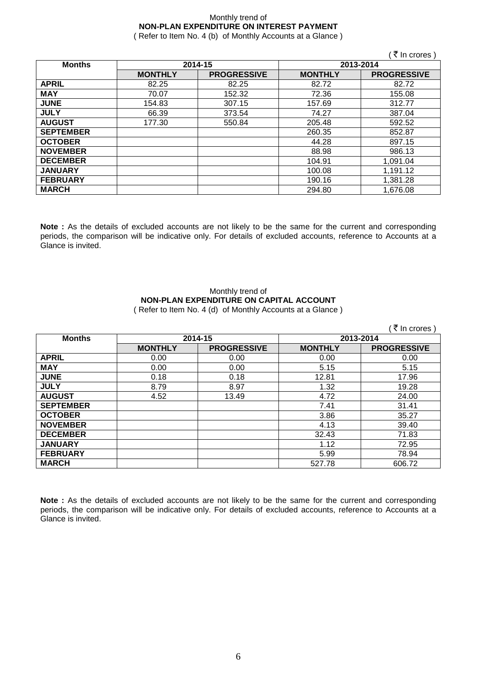# Monthly trend of **NON-PLAN EXPENDITURE ON INTEREST PAYMENT**

( Refer to Item No. 4 (b) of Monthly Accounts at a Glance )

|                  |                |                    |                | (₹ In crores)      |
|------------------|----------------|--------------------|----------------|--------------------|
| <b>Months</b>    |                | 2014-15            | 2013-2014      |                    |
|                  | <b>MONTHLY</b> | <b>PROGRESSIVE</b> | <b>MONTHLY</b> | <b>PROGRESSIVE</b> |
| <b>APRIL</b>     | 82.25          | 82.25              | 82.72          | 82.72              |
| <b>MAY</b>       | 70.07          | 152.32             | 72.36          | 155.08             |
| <b>JUNE</b>      | 154.83         | 307.15             | 157.69         | 312.77             |
| <b>JULY</b>      | 66.39          | 373.54             | 74.27          | 387.04             |
| <b>AUGUST</b>    | 177.30         | 550.84             | 205.48         | 592.52             |
| <b>SEPTEMBER</b> |                |                    | 260.35         | 852.87             |
| <b>OCTOBER</b>   |                |                    | 44.28          | 897.15             |
| <b>NOVEMBER</b>  |                |                    | 88.98          | 986.13             |
| <b>DECEMBER</b>  |                |                    | 104.91         | 1,091.04           |
| <b>JANUARY</b>   |                |                    | 100.08         | 1,191.12           |
| <b>FEBRUARY</b>  |                |                    | 190.16         | 1,381.28           |
| <b>MARCH</b>     |                |                    | 294.80         | 1,676.08           |

**Note :** As the details of excluded accounts are not likely to be the same for the current and corresponding periods, the comparison will be indicative only. For details of excluded accounts, reference to Accounts at a Glance is invited.

### Monthly trend of **NON-PLAN EXPENDITURE ON CAPITAL ACCOUNT** ( Refer to Item No. 4 (d) of Monthly Accounts at a Glance )

|                  |                |                    |                | ₹ In crores        |
|------------------|----------------|--------------------|----------------|--------------------|
| <b>Months</b>    |                | 2014-15            | 2013-2014      |                    |
|                  | <b>MONTHLY</b> | <b>PROGRESSIVE</b> | <b>MONTHLY</b> | <b>PROGRESSIVE</b> |
| <b>APRIL</b>     | 0.00           | 0.00               | 0.00           | 0.00               |
| <b>MAY</b>       | 0.00           | 0.00               | 5.15           | 5.15               |
| <b>JUNE</b>      | 0.18           | 0.18               | 12.81          | 17.96              |
| <b>JULY</b>      | 8.79           | 8.97               | 1.32           | 19.28              |
| <b>AUGUST</b>    | 4.52           | 13.49              | 4.72           | 24.00              |
| <b>SEPTEMBER</b> |                |                    | 7.41           | 31.41              |
| <b>OCTOBER</b>   |                |                    | 3.86           | 35.27              |
| <b>NOVEMBER</b>  |                |                    | 4.13           | 39.40              |
| <b>DECEMBER</b>  |                |                    | 32.43          | 71.83              |
| <b>JANUARY</b>   |                |                    | 1.12           | 72.95              |
| <b>FEBRUARY</b>  |                |                    | 5.99           | 78.94              |
| <b>MARCH</b>     |                |                    | 527.78         | 606.72             |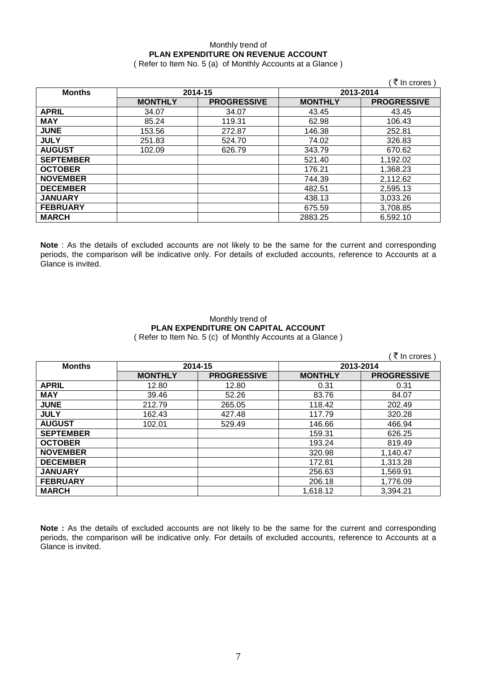### Monthly trend of **PLAN EXPENDITURE ON REVENUE ACCOUNT**

( Refer to Item No. 5 (a) of Monthly Accounts at a Glance )

|                  |                |                    |                | ़₹ In crores )     |
|------------------|----------------|--------------------|----------------|--------------------|
| <b>Months</b>    | 2014-15        |                    | 2013-2014      |                    |
|                  | <b>MONTHLY</b> | <b>PROGRESSIVE</b> | <b>MONTHLY</b> | <b>PROGRESSIVE</b> |
| <b>APRIL</b>     | 34.07          | 34.07              | 43.45          | 43.45              |
| <b>MAY</b>       | 85.24          | 119.31             | 62.98          | 106.43             |
| <b>JUNE</b>      | 153.56         | 272.87             | 146.38         | 252.81             |
| <b>JULY</b>      | 251.83         | 524.70             | 74.02          | 326.83             |
| <b>AUGUST</b>    | 102.09         | 626.79             | 343.79         | 670.62             |
| <b>SEPTEMBER</b> |                |                    | 521.40         | 1,192.02           |
| <b>OCTOBER</b>   |                |                    | 176.21         | 1,368.23           |
| <b>NOVEMBER</b>  |                |                    | 744.39         | 2,112.62           |
| <b>DECEMBER</b>  |                |                    | 482.51         | 2,595.13           |
| <b>JANUARY</b>   |                |                    | 438.13         | 3,033.26           |
| <b>FEBRUARY</b>  |                |                    | 675.59         | 3,708.85           |
| <b>MARCH</b>     |                |                    | 2883.25        | 6,592.10           |

**Note** : As the details of excluded accounts are not likely to be the same for the current and corresponding periods, the comparison will be indicative only. For details of excluded accounts, reference to Accounts at a Glance is invited.

### Monthly trend of **PLAN EXPENDITURE ON CAPITAL ACCOUNT** ( Refer to Item No. 5 (c) of Monthly Accounts at a Glance )

 $\sqrt{7}$  In crores )

| .                |                |                    |                |                    |
|------------------|----------------|--------------------|----------------|--------------------|
| <b>Months</b>    | 2014-15        |                    | 2013-2014      |                    |
|                  | <b>MONTHLY</b> | <b>PROGRESSIVE</b> | <b>MONTHLY</b> | <b>PROGRESSIVE</b> |
| <b>APRIL</b>     | 12.80          | 12.80              | 0.31           | 0.31               |
| <b>MAY</b>       | 39.46          | 52.26              | 83.76          | 84.07              |
| <b>JUNE</b>      | 212.79         | 265.05             | 118.42         | 202.49             |
| <b>JULY</b>      | 162.43         | 427.48             | 117.79         | 320.28             |
| <b>AUGUST</b>    | 102.01         | 529.49             | 146.66         | 466.94             |
| <b>SEPTEMBER</b> |                |                    | 159.31         | 626.25             |
| <b>OCTOBER</b>   |                |                    | 193.24         | 819.49             |
| <b>NOVEMBER</b>  |                |                    | 320.98         | 1,140.47           |
| <b>DECEMBER</b>  |                |                    | 172.81         | 1,313.28           |
| <b>JANUARY</b>   |                |                    | 256.63         | 1,569.91           |
| <b>FEBRUARY</b>  |                |                    | 206.18         | 1,776.09           |
| <b>MARCH</b>     |                |                    | 1,618.12       | 3,394.21           |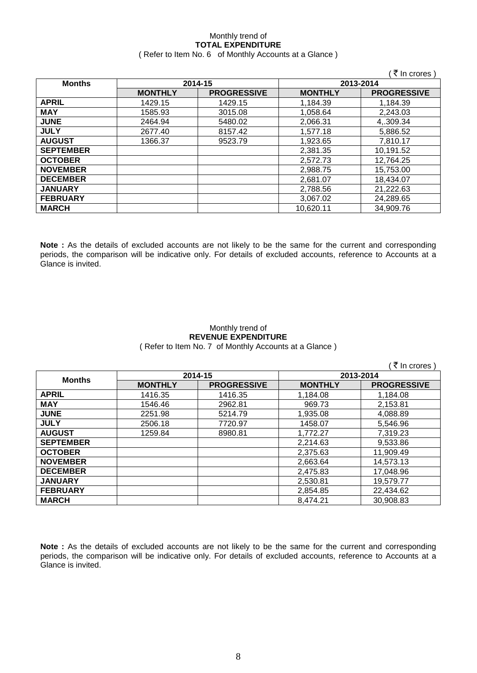### Monthly trend of **TOTAL EXPENDITURE** ( Refer to Item No. 6 of Monthly Accounts at a Glance )

|                  |                |                    |                | ′ ₹ In crores )    |
|------------------|----------------|--------------------|----------------|--------------------|
| <b>Months</b>    | 2014-15        |                    | 2013-2014      |                    |
|                  | <b>MONTHLY</b> | <b>PROGRESSIVE</b> | <b>MONTHLY</b> | <b>PROGRESSIVE</b> |
| <b>APRIL</b>     | 1429.15        | 1429.15            | 1,184.39       | 1,184.39           |
| <b>MAY</b>       | 1585.93        | 3015.08            | 1,058.64       | 2,243.03           |
| <b>JUNE</b>      | 2464.94        | 5480.02            | 2,066.31       | 4,.309.34          |
| <b>JULY</b>      | 2677.40        | 8157.42            | 1,577.18       | 5,886.52           |
| <b>AUGUST</b>    | 1366.37        | 9523.79            | 1,923.65       | 7,810.17           |
| <b>SEPTEMBER</b> |                |                    | 2,381.35       | 10,191.52          |
| <b>OCTOBER</b>   |                |                    | 2,572.73       | 12,764.25          |
| <b>NOVEMBER</b>  |                |                    | 2,988.75       | 15,753.00          |
| <b>DECEMBER</b>  |                |                    | 2,681.07       | 18,434.07          |
| <b>JANUARY</b>   |                |                    | 2,788.56       | 21,222.63          |
| <b>FEBRUARY</b>  |                |                    | 3,067.02       | 24,289.65          |
| <b>MARCH</b>     |                |                    | 10,620.11      | 34,909.76          |

**Note :** As the details of excluded accounts are not likely to be the same for the current and corresponding periods, the comparison will be indicative only. For details of excluded accounts, reference to Accounts at a Glance is invited.

### Monthly trend of **REVENUE EXPENDITURE** ( Refer to Item No. 7 of Monthly Accounts at a Glance )

|                  |                |                    |                | ₹ In crores )      |
|------------------|----------------|--------------------|----------------|--------------------|
|                  | 2014-15        |                    | 2013-2014      |                    |
| <b>Months</b>    | <b>MONTHLY</b> | <b>PROGRESSIVE</b> | <b>MONTHLY</b> | <b>PROGRESSIVE</b> |
| <b>APRIL</b>     | 1416.35        | 1416.35            | 1,184.08       | 1,184.08           |
| <b>MAY</b>       | 1546.46        | 2962.81            | 969.73         | 2,153.81           |
| <b>JUNE</b>      | 2251.98        | 5214.79            | 1,935.08       | 4,088.89           |
| <b>JULY</b>      | 2506.18        | 7720.97            | 1458.07        | 5,546.96           |
| <b>AUGUST</b>    | 1259.84        | 8980.81            | 1.772.27       | 7,319.23           |
| <b>SEPTEMBER</b> |                |                    | 2,214.63       | 9,533.86           |
| <b>OCTOBER</b>   |                |                    | 2,375.63       | 11,909.49          |
| <b>NOVEMBER</b>  |                |                    | 2,663.64       | 14,573.13          |
| <b>DECEMBER</b>  |                |                    | 2,475.83       | 17,048.96          |
| <b>JANUARY</b>   |                |                    | 2,530.81       | 19,579.77          |
| <b>FEBRUARY</b>  |                |                    | 2,854.85       | 22,434.62          |
| <b>MARCH</b>     |                |                    | 8,474.21       | 30,908.83          |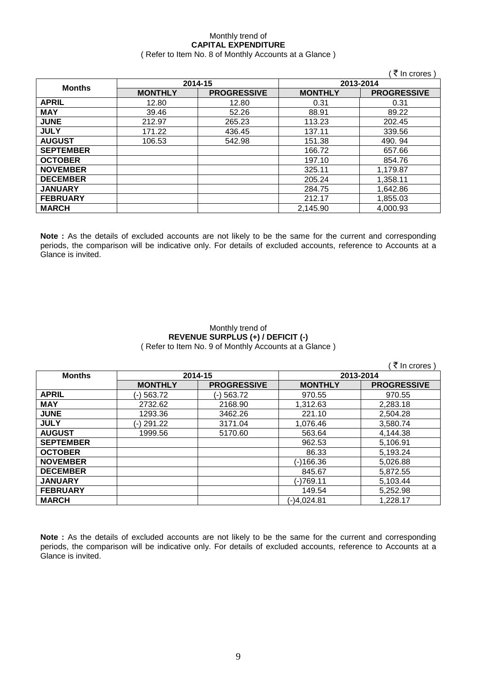### Monthly trend of **CAPITAL EXPENDITURE**  ( Refer to Item No. 8 of Monthly Accounts at a Glance )

|                  |                |                    |                | ∶₹ In crores )     |
|------------------|----------------|--------------------|----------------|--------------------|
| <b>Months</b>    | 2014-15        |                    | 2013-2014      |                    |
|                  | <b>MONTHLY</b> | <b>PROGRESSIVE</b> | <b>MONTHLY</b> | <b>PROGRESSIVE</b> |
| <b>APRIL</b>     | 12.80          | 12.80              | 0.31           | 0.31               |
| <b>MAY</b>       | 39.46          | 52.26              | 88.91          | 89.22              |
| <b>JUNE</b>      | 212.97         | 265.23             | 113.23         | 202.45             |
| <b>JULY</b>      | 171.22         | 436.45             | 137.11         | 339.56             |
| <b>AUGUST</b>    | 106.53         | 542.98             | 151.38         | 490.94             |
| <b>SEPTEMBER</b> |                |                    | 166.72         | 657.66             |
| <b>OCTOBER</b>   |                |                    | 197.10         | 854.76             |
| <b>NOVEMBER</b>  |                |                    | 325.11         | 1,179.87           |
| <b>DECEMBER</b>  |                |                    | 205.24         | 1,358.11           |
| <b>JANUARY</b>   |                |                    | 284.75         | 1,642.86           |
| <b>FEBRUARY</b>  |                |                    | 212.17         | 1,855.03           |
| <b>MARCH</b>     |                |                    | 2,145.90       | 4,000.93           |

**Note :** As the details of excluded accounts are not likely to be the same for the current and corresponding periods, the comparison will be indicative only. For details of excluded accounts, reference to Accounts at a Glance is invited.

### Monthly trend of **REVENUE SURPLUS (+) / DEFICIT (-)** ( Refer to Item No. 9 of Monthly Accounts at a Glance )

|                  |                |                    |                | ₹ In crores        |
|------------------|----------------|--------------------|----------------|--------------------|
| <b>Months</b>    | 2014-15        |                    | 2013-2014      |                    |
|                  | <b>MONTHLY</b> | <b>PROGRESSIVE</b> | <b>MONTHLY</b> | <b>PROGRESSIVE</b> |
| <b>APRIL</b>     | (-) 563.72     | (-) 563.72         | 970.55         | 970.55             |
| <b>MAY</b>       | 2732.62        | 2168.90            | 1.312.63       | 2,283.18           |
| <b>JUNE</b>      | 1293.36        | 3462.26            | 221.10         | 2,504.28           |
| <b>JULY</b>      | (-) 291.22     | 3171.04            | 1.076.46       | 3,580.74           |
| <b>AUGUST</b>    | 1999.56        | 5170.60            | 563.64         | 4,144.38           |
| <b>SEPTEMBER</b> |                |                    | 962.53         | 5,106.91           |
| <b>OCTOBER</b>   |                |                    | 86.33          | 5,193.24           |
| <b>NOVEMBER</b>  |                |                    | (-)166.36      | 5,026.88           |
| <b>DECEMBER</b>  |                |                    | 845.67         | 5,872.55           |
| <b>JANUARY</b>   |                |                    | (-)769.11      | 5,103.44           |
| <b>FEBRUARY</b>  |                |                    | 149.54         | 5,252.98           |
| <b>MARCH</b>     |                |                    | (-)4,024.81    | 1,228.17           |